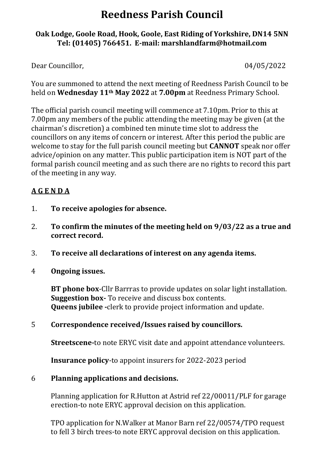# **Reedness Parish Council**

## **Oak Lodge, Goole Road, Hook, Goole, East Riding of Yorkshire, DN14 5NN Tel: (01405) 766451. E-mail: [marshlandfarm@hotmail.com](mailto:marshlandfarm@hotmail.com)**

Dear Councillor, 04/05/2022

You are summoned to attend the next meeting of Reedness Parish Council to be held on **Wednesday 11th May 2022** at **7.00pm** at Reedness Primary School.

The official parish council meeting will commence at 7.10pm. Prior to this at 7.00pm any members of the public attending the meeting may be given (at the chairman's discretion) a combined ten minute time slot to address the councillors on any items of concern or interest. After this period the public are welcome to stay for the full parish council meeting but **CANNOT** speak nor offer advice/opinion on any matter. This public participation item is NOT part of the formal parish council meeting and as such there are no rights to record this part of the meeting in any way.

## **A G E N D A**

- 1. **To receive apologies for absence.**
- 2. **To confirm the minutes of the meeting held on 9/03/22 as a true and correct record.**
- 3. **To receive all declarations of interest on any agenda items.**
- 4 **Ongoing issues.**

**BT phone box**-Cllr Barrras to provide updates on solar light installation. **Suggestion box-** To receive and discuss box contents. **Queens jubilee -**clerk to provide project information and update.

## 5 **Correspondence received/Issues raised by councillors.**

**Streetscene-**to note ERYC visit date and appoint attendance volunteers.

**Insurance policy**-to appoint insurers for 2022-2023 period

#### 6 **Planning applications and decisions.**

Planning application for R.Hutton at Astrid ref 22/00011/PLF for garage erection-to note ERYC approval decision on this application.

TPO application for N.Walker at Manor Barn ref 22/00574/TPO request to fell 3 birch trees-to note ERYC approval decision on this application.